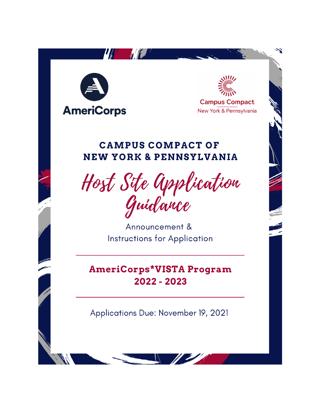



ジ

**Campus Compact** New York & Pennsylvania

# **CAMPUS COMPACT OF** NEW YORK & PENNSYLVANIA

Host Site Application

Announcement & Instructions for Application

**AmeriCorps\*VISTA Program** 2022 - 2023

Applications Due: November 19, 2021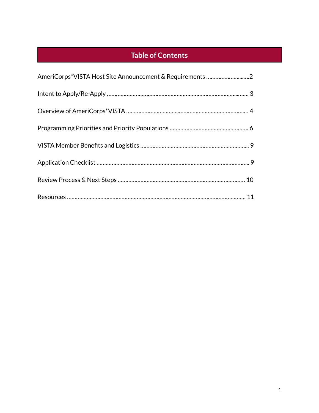## **Table of Contents**

| AmeriCorps*VISTA Host Site Announcement & Requirements 2 |
|----------------------------------------------------------|
|                                                          |
|                                                          |
|                                                          |
|                                                          |
|                                                          |
|                                                          |
|                                                          |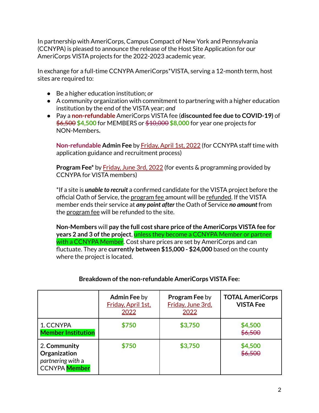In partnership with AmeriCorps, Campus Compact of New York and Pennsylvania (CCNYPA) is pleased to announce the release of the Host Site Application for our AmeriCorps VISTA projects for the 2022-2023 academic year.

In exchange for a full-time CCNYPA AmeriCorps\*VISTA, serving a 12-month term, host sites are required to:

- Be a higher education institution; *or*
- A community organization with commitment to partnering with a higher education institution by the end of the VISTA year; *and*
- Pay a **non-refundable** AmeriCorps VISTA fee (**discounted fee due to COVID-19)** of \$6,500 **\$4,500** for MEMBERS or \$10,000 **\$8,000** for year one projects for NON-Members**.**

**Non-refundable Admin Fee** by Friday, April 1st, 2022 (for CCNYPA staff time with application guidance and recruitment process)

**Program Fee\*** by Friday, June 3rd, 2022 (for events & programming provided by CCNYPA for VISTA members)

\*If a site is *unable to recruit* a confirmed candidate for the VISTA project before the official Oath of Service, the program fee amount will be refunded. If the VISTA member ends their service at *any point after* the Oath of Service *no amount* from the program fee will be refunded to the site.

**Non-Members** will **pay the full cost share price ofthe AmeriCorps VISTA fee for years 2 and 3 ofthe project**, unless they become a CCNYPA Member or partner with a CCNYPA Member. Cost share prices are set by AmeriCorps and can fluctuate. They are **currently between \$15,000 - \$24,000** based on the county where the project is located.

| Breakdown of the non-refundable AmeriCorps VISTA Fee: |
|-------------------------------------------------------|
|-------------------------------------------------------|

|                                                                           | <b>Admin Fee by</b><br>Friday, April 1st,<br>2022 | <b>Program Fee by</b><br>Friday, June 3rd,<br>2022 | <b>TOTAL AmeriCorps</b><br><b>VISTA Fee</b> |
|---------------------------------------------------------------------------|---------------------------------------------------|----------------------------------------------------|---------------------------------------------|
| 1. CCNYPA<br><b>Member Institution</b>                                    | \$750                                             | \$3,750                                            | \$4,500<br>\$6,500                          |
| 2. Community<br>Organization<br>partnering with a<br><b>CCNYPA</b> Member | \$750                                             | \$3,750                                            | \$4,500<br>\$6,500                          |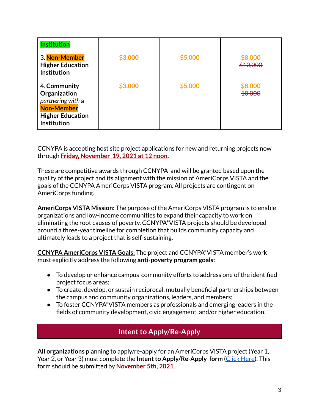| <b>Institution</b>                                                                                                      |         |         |                              |
|-------------------------------------------------------------------------------------------------------------------------|---------|---------|------------------------------|
| 3. Non-Member<br><b>Higher Education</b><br><b>Institution</b>                                                          | \$3,000 | \$5,000 | \$8,000<br>\$10,000          |
| 4. Community<br>Organization<br>partnering with a<br><b>Non-Member</b><br><b>Higher Education</b><br><b>Institution</b> | \$3,000 | \$5,000 | \$8,000<br><del>10,000</del> |

CCNYPA is accepting host site project applications for new and returning projects now through **Friday, November 19, 2021 at 12 noon.**

These are competitive awards through CCNYPA and will be granted based upon the quality of the project and its alignment with the mission of AmeriCorps VISTA and the goals of the CCNYPA AmeriCorps VISTA program. All projects are contingent on AmeriCorps funding.

**AmeriCorps VISTA Mission:** The purpose of the AmeriCorps VISTA program is to enable organizations and low-income communities to expand their capacity to work on eliminating the root causes of poverty. CCNYPA\*VISTA projects should be developed around a three-year timeline for completion that builds community capacity and ultimately leads to a project that is self-sustaining.

**CCNYPA AmeriCorps VISTA Goals:** The project and CCNYPA\*VISTA member's work must explicitly address the following **anti-poverty program goals:**

- To develop or enhance campus-community efforts to address one of the identified project focus areas;
- To create, develop, or sustain reciprocal, mutually beneficial partnerships between the campus and community organizations, leaders, and members;
- To foster CCNYPA\*VISTA members as professionals and emerging leaders in the fields of community development, civic engagement, and/or higher education.

## **Intent to Apply/Re-Apply**

**All organizations** planning to apply/re-apply for an AmeriCorps VISTA project (Year 1, Year 2, or Year 3) must complete the **Intent to Apply/Re-Apply form** (Click [Here\)](https://docs.google.com/forms/d/e/1FAIpQLSeqWlLUeMT6jOEXZFzcr7WetY7AdIfXS7S0q6obH-Ulo5oARQ/viewform?usp=sf_link). This form should be submitted by **November 5th, 2021**.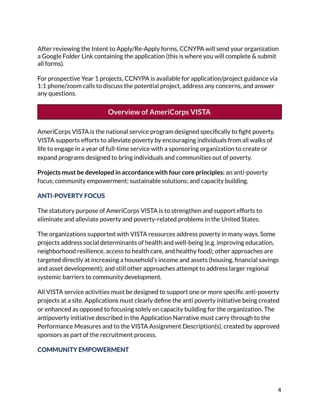After reviewing the Intent to Apply/Re-Apply forms, CCNYPA will send your organization a Google Folder Link containing the application (this is where you will complete & submit all forms).

For prospective Year 1 projects, CCNYPA is available for application/project guidance via 1:1 phone/zoom calls to discuss the potential project, address any concerns, and answer any questions.

## **Overview of AmeriCorps VISTA**

AmeriCorps VISTA is the national service program designed specifically to fight poverty. VISTA supports efforts to alleviate poverty by encouraging individuals from all walks of life to engage in a year of full-time service with a sponsoring organization to create or expand programs designed to bring individuals and communities out of poverty.

**Projects must be developed in accordance with four core principles:** an anti-poverty focus; community empowerment; sustainable solutions; and capacity building.

### **ANTI-POVERTY FOCUS**

The statutory purpose of AmeriCorps VISTA is to strengthen and support efforts to eliminate and alleviate poverty and poverty-related problems in the United States.

The organizations supported with VISTA resources address poverty in many ways. Some projects address social determinants of health and well-being (e.g. improving education, neighborhood resilience, access to health care, and healthy food); other approaches are targeted directly at increasing a household's income and assets (housing, financial savings and asset development); and still other approaches attempt to address larger regional systemic barriers to community development.

All VISTA service activities must be designed to support one or more specific anti-poverty projects at a site. Applications must clearly define the anti poverty initiative being created or enhanced as opposed to focusing solely on capacity building for the organization. The antipoverty initiative described in the Application Narrative must carry through to the Performance Measures and to the VISTA Assignment Description(s), created by approved sponsors as part of the recruitment process.

#### **COMMUNITY EMPOWERMENT**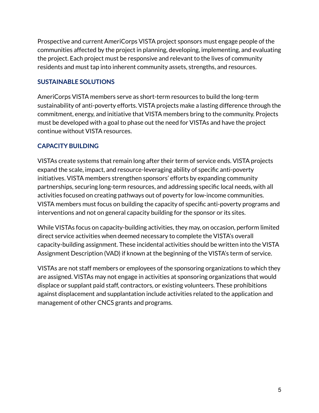Prospective and current AmeriCorps VISTA project sponsors must engage people of the communities affected by the project in planning, developing, implementing, and evaluating the project. Each project must be responsive and relevant to the lives of community residents and must tap into inherent community assets, strengths, and resources.

#### **SUSTAINABLE SOLUTIONS**

AmeriCorps VISTA members serve as short-term resources to build the long-term sustainability of anti-poverty efforts. VISTA projects make a lasting difference through the commitment, energy, and initiative that VISTA members bring to the community. Projects must be developed with a goal to phase out the need for VISTAs and have the project continue without VISTA resources.

### **CAPACITY BUILDING**

VISTAs create systems that remain long after their term of service ends. VISTA projects expand the scale, impact, and resource-leveraging ability of specific anti-poverty initiatives. VISTA members strengthen sponsors' efforts by expanding community partnerships, securing long-term resources, and addressing specific local needs, with all activities focused on creating pathways out of poverty for low-income communities. VISTA members must focus on building the capacity of specific anti-poverty programs and interventions and not on general capacity building for the sponsor or its sites.

While VISTAs focus on capacity-building activities, they may, on occasion, perform limited direct service activities when deemed necessary to complete the VISTA's overall capacity-building assignment. These incidental activities should be written into the VISTA Assignment Description (VAD) if known at the beginning of the VISTA's term of service.

VISTAs are not staff members or employees of the sponsoring organizations to which they are assigned. VISTAs may not engage in activities at sponsoring organizations that would displace or supplant paid staff, contractors, or existing volunteers. These prohibitions against displacement and supplantation include activities related to the application and management of other CNCS grants and programs.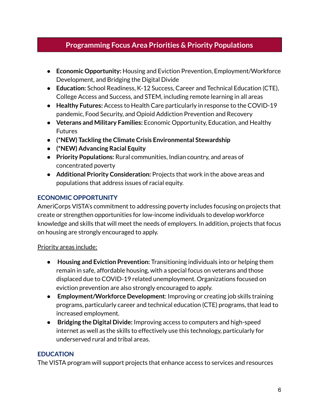## **Programming Focus Area Priorities & Priority Populations**

- **Economic Opportunity:** Housing and Eviction Prevention, Employment/Workforce Development, and Bridging the Digital Divide
- **Education:** School Readiness, K-12 Success, Career and Technical Education (CTE), College Access and Success, and STEM, including remote learning in all areas
- **Healthy Futures:** Access to Health Care particularly in response to the COVID-19 pandemic, Food Security, and Opioid Addiction Prevention and Recovery
- **Veterans and Military Families:** Economic Opportunity, Education, and Healthy Futures
- **● (\*NEW) Tackling the Climate Crisis Environmental Stewardship**
- **● (\*NEW) Advancing Racial Equity**
- **● Priority Populations:** Rural communities, Indian country, and areas of concentrated poverty
- **Additional Priority Consideration:** Projects that work in the above areas and populations that address issues of racial equity.

#### **ECONOMIC OPPORTUNITY**

AmeriCorps VISTA's commitment to addressing poverty includes focusing on projects that create or strengthen opportunities for low-income individuals to develop workforce knowledge and skills that will meet the needs of employers. In addition, projects that focus on housing are strongly encouraged to apply.

#### Priority areas include:

- **Housing and Eviction Prevention:** Transitioning individuals into or helping them remain in safe, affordable housing, with a special focus on veterans and those displaced due to COVID-19 related unemployment. Organizations focused on eviction prevention are also strongly encouraged to apply.
- **Employment/Workforce Development**: Improving or creating job skills training programs, particularly career and technical education (CTE) programs, that lead to increased employment.
- **Bridging the Digital Divide:** Improving access to computers and high-speed internet as well as the skills to effectively use this technology, particularly for underserved rural and tribal areas.

#### **EDUCATION**

The VISTA program will support projects that enhance access to services and resources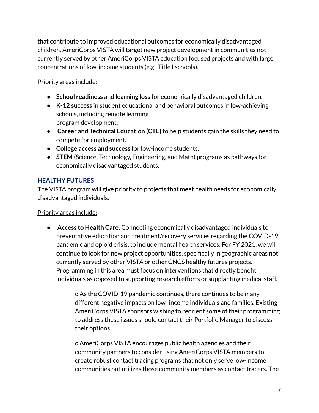that contribute to improved educational outcomes for economically disadvantaged children. AmeriCorps VISTA will target new project development in communities not currently served by other AmeriCorps VISTA education focused projects and with large concentrations of low-income students (e.g., Title I schools).

### Priority areas include:

- **School readiness** and **learning loss** for economically disadvantaged children.
- **K-12 success** in student educational and behavioral outcomes in low-achieving schools, including remote learning program development.
- **Career and Technical Education (CTE)** to help students gain the skills they need to compete for employment.
- **College access and success** for low-income students.
- **STEM** (Science, Technology, Engineering, and Math) programs as pathways for economically disadvantaged students.

### **HEALTHY FUTURES**

The VISTA program will give priority to projects that meet health needs for economically disadvantaged individuals.

#### Priority areas include:

● **Access to Health Care**: Connecting economically disadvantaged individuals to preventative education and treatment/recovery services regarding the COVID-19 pandemic and opioid crisis, to include mental health services. For FY 2021, we will continue to look for new project opportunities, specifically in geographic areas not currently served by other VISTA or other CNCS healthy futures projects. Programming in this area must focus on interventions that directly benefit individuals as opposed to supporting research efforts or supplanting medical staff.

> o As the COVID-19 pandemic continues, there continues to be many different negative impacts on low- income individuals and families. Existing AmeriCorps VISTA sponsors wishing to reorient some of their programming to address these issues should contact their Portfolio Manager to discuss their options.

> o AmeriCorps VISTA encourages public health agencies and their community partners to consider using AmeriCorps VISTA members to create robust contact tracing programs that not only serve low-income communities but utilizes those community members as contact tracers. The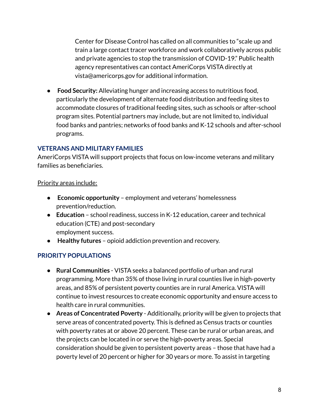Center for Disease Control has called on all communities to "scale up and train a large contact tracer workforce and work collaboratively across public and private agencies to stop the transmission of COVID-19." Public health agency representatives can contact AmeriCorps VISTA directly at vista@americorps.gov for additional information.

**Food Security:** Alleviating hunger and increasing access to nutritious food, particularly the development of alternate food distribution and feeding sites to accommodate closures of traditional feeding sites, such as schools or after-school program sites. Potential partners may include, but are not limited to, individual food banks and pantries; networks of food banks and K-12 schools and after-school programs.

#### **VETERANS AND MILITARY FAMILIES**

AmeriCorps VISTA will support projects that focus on low-income veterans and military families as beneficiaries.

#### Priority areas include:

- **Economic opportunity** employment and veterans' homelessness prevention/reduction.
- **Education** school readiness, success in K-12 education, career and technical education (CTE) and post-secondary employment success.
- **Healthy futures** opioid addiction prevention and recovery.

#### **PRIORITY POPULATIONS**

- **Rural Communities** VISTA seeks a balanced portfolio of urban and rural programming. More than 35% of those living in rural counties live in high-poverty areas, and 85% of persistent poverty counties are in rural America. VISTA will continue to invest resources to create economic opportunity and ensure access to health care in rural communities.
- **Areas of Concentrated Poverty** Additionally, priority will be given to projects that serve areas of concentrated poverty. This is defined as Census tracts or counties with poverty rates at or above 20 percent. These can be rural or urban areas, and the projects can be located in or serve the high-poverty areas. Special consideration should be given to persistent poverty areas – those that have had a poverty level of 20 percent or higher for 30 years or more. To assist in targeting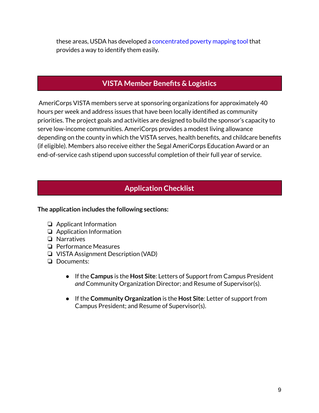these areas, USDA has developed a concentrated poverty mapping tool that provides a way to identify them easily.

## **VISTA Member Benefits & Logistics**

AmeriCorps VISTA members serve at sponsoring organizations for approximately 40 hours per week and address issues that have been locally identified as community priorities. The project goals and activities are designed to build the sponsor's capacity to serve low-income communities. AmeriCorps provides a modest living allowance depending on the county in which the VISTA serves, health benefits, and childcare benefits (if eligible). Members also receive either the Segal AmeriCorps Education Award or an end-of-service cash stipend upon successful completion of their full year of service.

## **Application Checklist**

#### **The application includes the following sections:**

- ❏ Applicant Information
- ❏ Application Information
- ❏ Narratives
- ❏ Performance Measures
- ❏ VISTA Assignment Description (VAD)
- ❏ Documents:
	- If the **Campus** is the **Host Site**: Letters of Support from Campus President *and* Community Organization Director; and Resume of Supervisor(s).
	- If the **Community Organization** is the **Host Site**: Letter of support from Campus President; and Resume of Supervisor(s).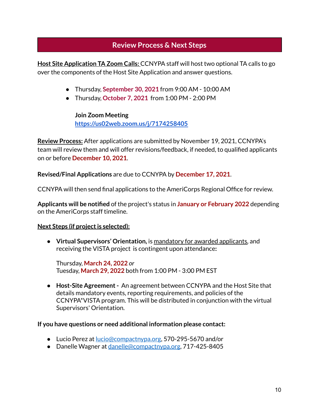### **Review Process & Next Steps**

**Host Site Application TA Zoom Calls:** CCNYPA staff will host two optional TA calls to go over the components of the Host Site Application and answer questions.

- Thursday, **September 30, 2021** from 9:00 AM 10:00 AM
- Thursday, **October 7, 2021** from 1:00 PM 2:00 PM

**Join Zoom Meeting <https://us02web.zoom.us/j/7174258405>**

**Review Process:** After applications are submitted by November 19, 2021, CCNYPA's team will review them and will offer revisions/feedback, if needed, to qualified applicants on or before **December 10, 2021**.

**Revised/Final Applications** are due to CCNYPA by **December 17, 2021**.

CCNYPA will then send final applications to the AmeriCorps Regional Office for review.

**Applicants will be notified** of the project's status in **January or February 2022** depending on the AmeriCorps staff timeline.

#### **Next Steps** (if project is selected):

**● Virtual Supervisors' Orientation,** is mandatory for awarded applicants, and receiving the VISTA project is contingent upon attendance**:**

Thursday, **March 24, 2022** *or* Tuesday, **March 29, 2022** both from 1:00 PM - 3:00 PM EST

**● Host-Site Agreement-** An agreement between CCNYPA and the Host Site that details mandatory events, reporting requirements, and policies of the CCNYPA\*VISTA program. This will be distributed in conjunction with the virtual Supervisors' Orientation.

#### **If you have questions or need additional information please contact:**

- Lucio Perez at [lucio@compactnypa.org](mailto:lucio@compactnypa.org), 570-295-5670 and/or
- Danelle Wagner at [danelle@compactnypa.org](mailto:danelle@compactnypa.org), 717-425-8405